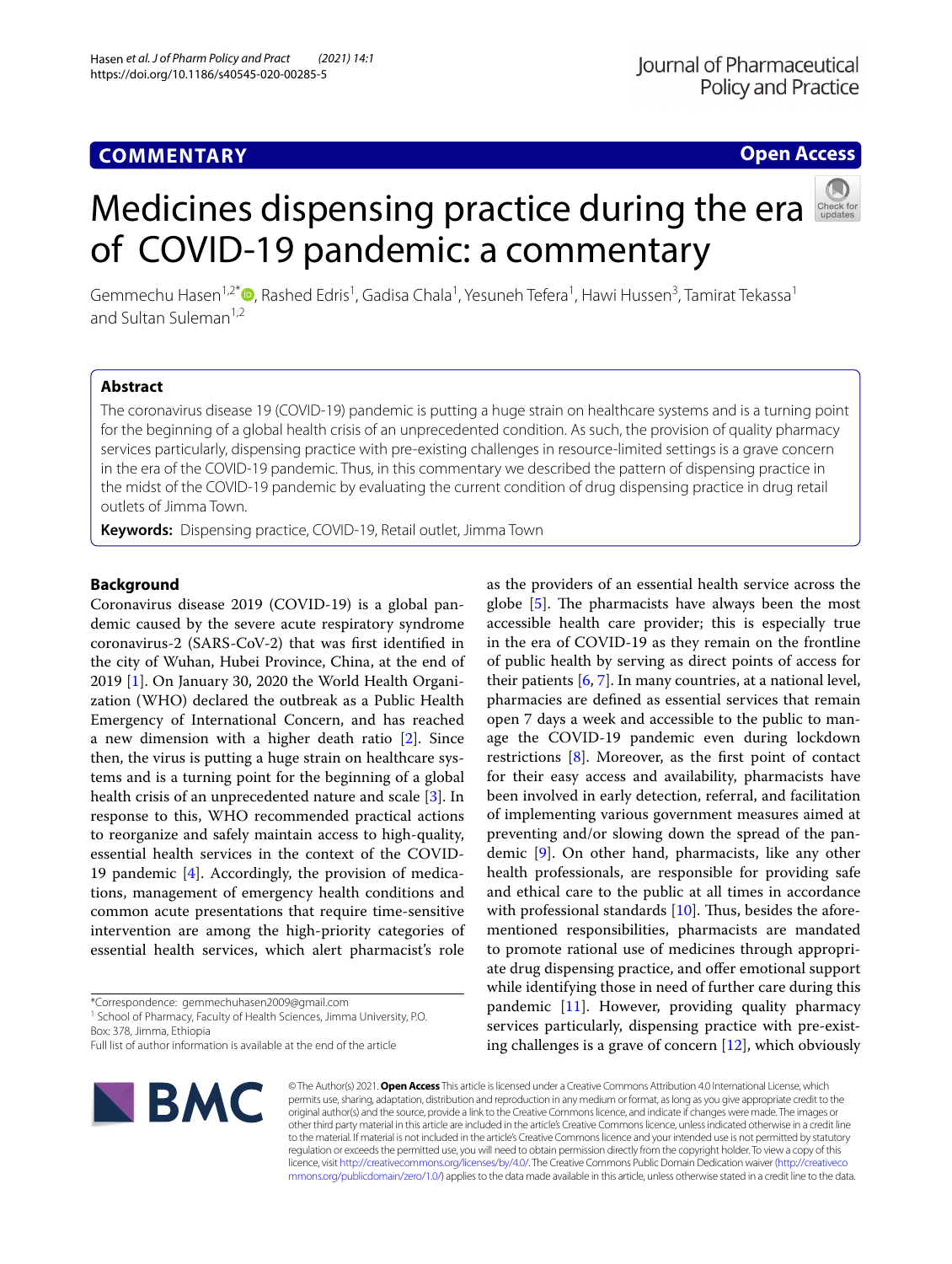# **COMMENTARY**

## **Open Access**

# Medicines dispensing practice during the era of COVID-19 pandemic: a commentary



Gemmechu Hasen<sup>1[,](http://orcid.org/0000-0002-1693-0240)2\*</sup>®, Rashed Edris<sup>1</sup>, Gadisa Chala<sup>1</sup>, Yesuneh Tefera<sup>1</sup>, Hawi Hussen<sup>3</sup>, Tamirat Tekassa<sup>1</sup> and Sultan Suleman<sup>1,2</sup>

## **Abstract**

The coronavirus disease 19 (COVID-19) pandemic is putting a huge strain on healthcare systems and is a turning point for the beginning of a global health crisis of an unprecedented condition. As such, the provision of quality pharmacy services particularly, dispensing practice with pre-existing challenges in resource-limited settings is a grave concern in the era of the COVID-19 pandemic. Thus, in this commentary we described the pattern of dispensing practice in the midst of the COVID-19 pandemic by evaluating the current condition of drug dispensing practice in drug retail outlets of Jimma Town.

**Keywords:** Dispensing practice, COVID-19, Retail outlet, Jimma Town

### **Background**

Coronavirus disease 2019 (COVID-19) is a global pandemic caused by the severe acute respiratory syndrome coronavirus-2 (SARS-CoV-2) that was frst identifed in the city of Wuhan, Hubei Province, China, at the end of 2019 [\[1](#page-2-0)]. On January 30, 2020 the World Health Organization (WHO) declared the outbreak as a Public Health Emergency of International Concern, and has reached a new dimension with a higher death ratio [[2](#page-2-1)]. Since then, the virus is putting a huge strain on healthcare systems and is a turning point for the beginning of a global health crisis of an unprecedented nature and scale [[3\]](#page-2-2). In response to this, WHO recommended practical actions to reorganize and safely maintain access to high-quality, essential health services in the context of the COVID-19 pandemic [\[4](#page-2-3)]. Accordingly, the provision of medications, management of emergency health conditions and common acute presentations that require time-sensitive intervention are among the high-priority categories of essential health services, which alert pharmacist's role

<sup>1</sup> School of Pharmacy, Faculty of Health Sciences, Jimma University, P.O. Box: 378, Jimma, Ethiopia

Full list of author information is available at the end of the article



accessible health care provider; this is especially true in the era of COVID-19 as they remain on the frontline of public health by serving as direct points of access for their patients  $[6, 7]$  $[6, 7]$  $[6, 7]$ . In many countries, at a national level, pharmacies are defned as essential services that remain open 7 days a week and accessible to the public to manage the COVID-19 pandemic even during lockdown restrictions [[8\]](#page-2-7). Moreover, as the frst point of contact for their easy access and availability, pharmacists have been involved in early detection, referral, and facilitation of implementing various government measures aimed at preventing and/or slowing down the spread of the pandemic [\[9](#page-2-8)]. On other hand, pharmacists, like any other health professionals, are responsible for providing safe and ethical care to the public at all times in accordance with professional standards  $[10]$ . Thus, besides the aforementioned responsibilities, pharmacists are mandated to promote rational use of medicines through appropriate drug dispensing practice, and offer emotional support while identifying those in need of further care during this pandemic [[11\]](#page-2-10). However, providing quality pharmacy services particularly, dispensing practice with pre-existing challenges is a grave of concern  $[12]$  $[12]$  $[12]$ , which obviously

as the providers of an essential health service across the globe  $[5]$  $[5]$ . The pharmacists have always been the most

© The Author(s) 2021. **Open Access** This article is licensed under a Creative Commons Attribution 4.0 International License, which permits use, sharing, adaptation, distribution and reproduction in any medium or format, as long as you give appropriate credit to the original author(s) and the source, provide a link to the Creative Commons licence, and indicate if changes were made. The images or other third party material in this article are included in the article's Creative Commons licence, unless indicated otherwise in a credit line to the material. If material is not included in the article's Creative Commons licence and your intended use is not permitted by statutory regulation or exceeds the permitted use, you will need to obtain permission directly from the copyright holder. To view a copy of this licence, visit [http://creativecommons.org/licenses/by/4.0/.](http://creativecommons.org/licenses/by/4.0/) The Creative Commons Public Domain Dedication waiver ([http://creativeco](http://creativecommons.org/publicdomain/zero/1.0/) [mmons.org/publicdomain/zero/1.0/](http://creativecommons.org/publicdomain/zero/1.0/)) applies to the data made available in this article, unless otherwise stated in a credit line to the data.

<sup>\*</sup>Correspondence: gemmechuhasen2009@gmail.com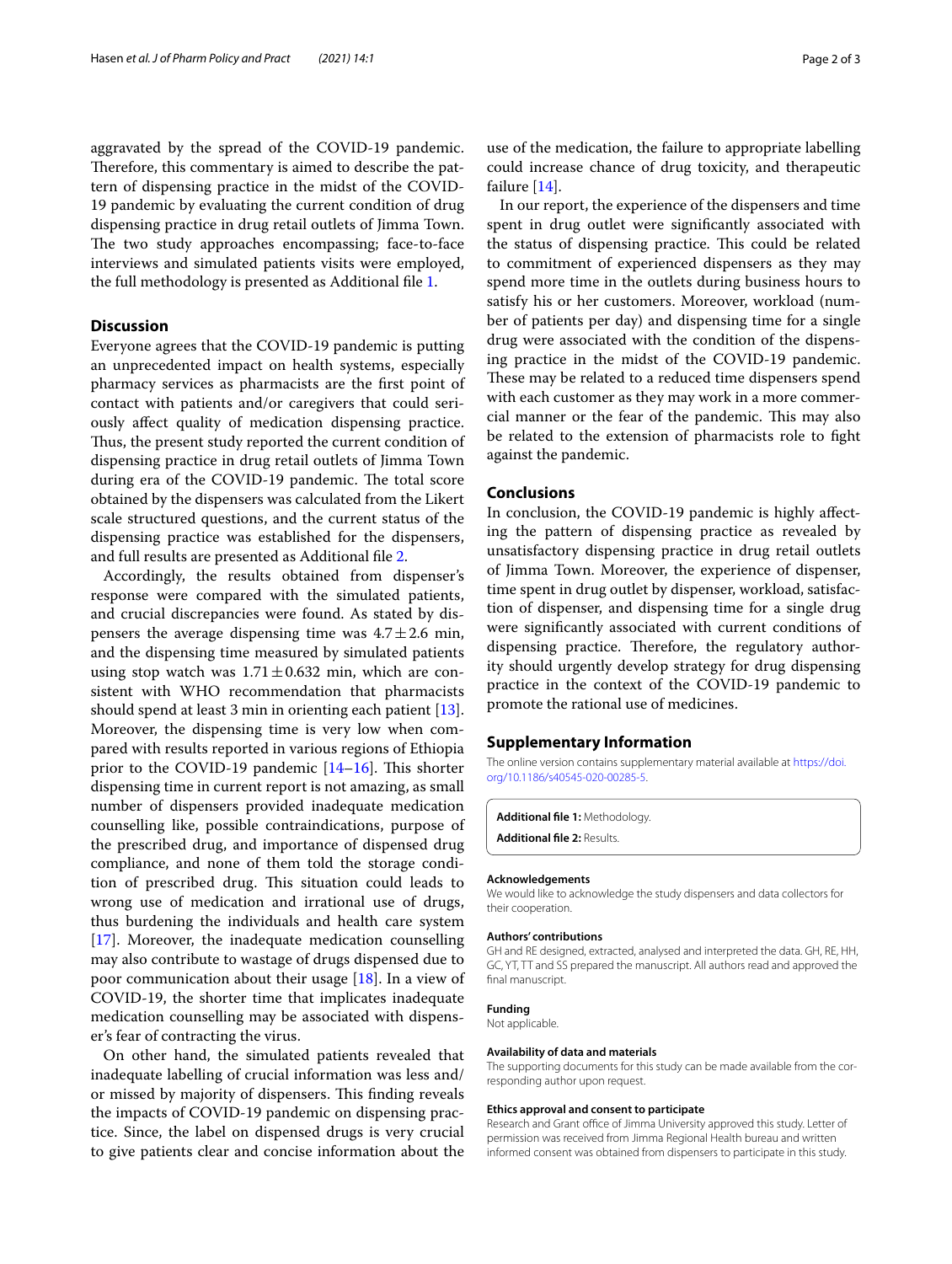aggravated by the spread of the COVID-19 pandemic. Therefore, this commentary is aimed to describe the pattern of dispensing practice in the midst of the COVID-19 pandemic by evaluating the current condition of drug dispensing practice in drug retail outlets of Jimma Town. The two study approaches encompassing; face-to-face interviews and simulated patients visits were employed, the full methodology is presented as Additional fle [1.](#page-1-0)

#### **Discussion**

Everyone agrees that the COVID-19 pandemic is putting an unprecedented impact on health systems, especially pharmacy services as pharmacists are the frst point of contact with patients and/or caregivers that could seriously afect quality of medication dispensing practice. Thus, the present study reported the current condition of dispensing practice in drug retail outlets of Jimma Town during era of the COVID-19 pandemic. The total score obtained by the dispensers was calculated from the Likert scale structured questions, and the current status of the dispensing practice was established for the dispensers, and full results are presented as Additional fle [2.](#page-1-1)

Accordingly, the results obtained from dispenser's response were compared with the simulated patients, and crucial discrepancies were found. As stated by dispensers the average dispensing time was  $4.7 \pm 2.6$  min, and the dispensing time measured by simulated patients using stop watch was  $1.71 \pm 0.632$  min, which are consistent with WHO recommendation that pharmacists should spend at least 3 min in orienting each patient  $[13]$  $[13]$ . Moreover, the dispensing time is very low when compared with results reported in various regions of Ethiopia prior to the COVID-19 pandemic  $[14–16]$  $[14–16]$ . This shorter dispensing time in current report is not amazing, as small number of dispensers provided inadequate medication counselling like, possible contraindications, purpose of the prescribed drug, and importance of dispensed drug compliance, and none of them told the storage condition of prescribed drug. This situation could leads to wrong use of medication and irrational use of drugs, thus burdening the individuals and health care system [[17\]](#page-2-15). Moreover, the inadequate medication counselling may also contribute to wastage of drugs dispensed due to poor communication about their usage [[18\]](#page-2-16). In a view of COVID-19, the shorter time that implicates inadequate medication counselling may be associated with dispenser's fear of contracting the virus.

On other hand, the simulated patients revealed that inadequate labelling of crucial information was less and/ or missed by majority of dispensers. This finding reveals the impacts of COVID-19 pandemic on dispensing practice. Since, the label on dispensed drugs is very crucial to give patients clear and concise information about the

use of the medication, the failure to appropriate labelling could increase chance of drug toxicity, and therapeutic failure [\[14](#page-2-13)].

In our report, the experience of the dispensers and time spent in drug outlet were signifcantly associated with the status of dispensing practice. This could be related to commitment of experienced dispensers as they may spend more time in the outlets during business hours to satisfy his or her customers. Moreover, workload (number of patients per day) and dispensing time for a single drug were associated with the condition of the dispensing practice in the midst of the COVID-19 pandemic. These may be related to a reduced time dispensers spend with each customer as they may work in a more commercial manner or the fear of the pandemic. This may also be related to the extension of pharmacists role to fght against the pandemic.

#### **Conclusions**

In conclusion, the COVID-19 pandemic is highly afecting the pattern of dispensing practice as revealed by unsatisfactory dispensing practice in drug retail outlets of Jimma Town. Moreover, the experience of dispenser, time spent in drug outlet by dispenser, workload, satisfaction of dispenser, and dispensing time for a single drug were signifcantly associated with current conditions of dispensing practice. Therefore, the regulatory authority should urgently develop strategy for drug dispensing practice in the context of the COVID-19 pandemic to promote the rational use of medicines.

#### **Supplementary Information**

The online version contains supplementary material available at [https://doi.](https://doi.org/10.1186/s40545-020-00285-5) [org/10.1186/s40545-020-00285-5](https://doi.org/10.1186/s40545-020-00285-5).

<span id="page-1-1"></span><span id="page-1-0"></span>**Additional fle 1:** Methodology. **Additional fle 2:** Results.

#### **Acknowledgements**

We would like to acknowledge the study dispensers and data collectors for their cooperation.

#### **Authors' contributions**

GH and RE designed, extracted, analysed and interpreted the data. GH, RE, HH, GC, YT, TT and SS prepared the manuscript. All authors read and approved the final manuscript.

**Funding**

Not applicable.

#### **Availability of data and materials**

The supporting documents for this study can be made available from the corresponding author upon request.

#### **Ethics approval and consent to participate**

Research and Grant office of Jimma University approved this study. Letter of permission was received from Jimma Regional Health bureau and written informed consent was obtained from dispensers to participate in this study.